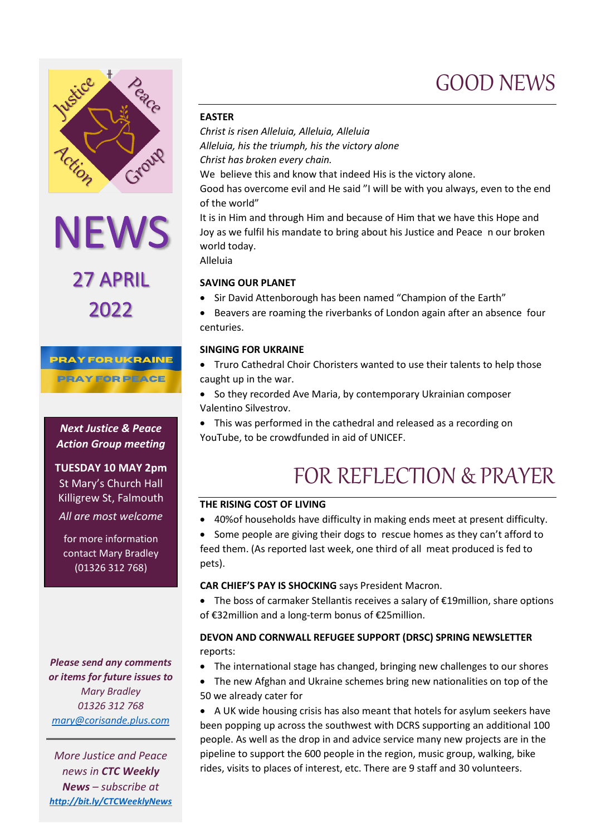

NEWS<br>27 APRIL 2022

#### **PRAY FOR UKRAINE**

**PRAY FOR PEACE** 

*Next Justice & Peace Action Group meeting*

**TUESDAY 10 MAY 2pm** St Mary's Church Hall Killigrew St, Falmouth *All are most welcome*

for more information contact Mary Bradley (01326 312 768)

*Please send any comments or items for future issues to Mary Bradley 01326 312 768 [mary@corisande.plus.com](mailto:mary@corisande.plus.com)*

*More Justice and Peace news in CTC Weekly News – subscribe at <http://bit.ly/CTCWeeklyNews>*

#### **EASTER**

*Christ is risen Alleluia, Alleluia, Alleluia Alleluia, his the triumph, his the victory alone Christ has broken every chain.* We believe this and know that indeed His is the victory alone.

Good has overcome evil and He said "I will be with you always, even to the end of the world"

It is in Him and through Him and because of Him that we have this Hope and Joy as we fulfil his mandate to bring about his Justice and Peace n our broken world today.

Alleluia

#### **SAVING OUR PLANET**

- Sir David Attenborough has been named "Champion of the Earth"
- Beavers are roaming the riverbanks of London again after an absence four centuries.

#### **SINGING FOR UKRAINE**

- Truro Cathedral Choir Choristers wanted to use their talents to help those caught up in the war.
- So they recorded Ave Maria, by contemporary Ukrainian composer Valentino Silvestrov.
- This was performed in the cathedral and released as a recording on YouTube, to be crowdfunded in aid of UNICEF.

## FOR REFLECTION & PRAYER

#### **THE RISING COST OF LIVING**

- 40%of households have difficulty in making ends meet at present difficulty.
- Some people are giving their dogs to rescue homes as they can't afford to feed them. (As reported last week, one third of all meat produced is fed to pets).

#### **CAR CHIEF'S PAY IS SHOCKING** says President Macron.

• The boss of carmaker Stellantis receives a salary of €19million, share options of €32million and a long-term bonus of €25million.

#### **DEVON AND CORNWALL REFUGEE SUPPORT (DRSC) SPRING NEWSLETTER** reports:

- The international stage has changed, bringing new challenges to our shores
- The new Afghan and Ukraine schemes bring new nationalities on top of the 50 we already cater for

• A UK wide housing crisis has also meant that hotels for asylum seekers have been popping up across the southwest with DCRS supporting an additional 100 people. As well as the drop in and advice service many new projects are in the pipeline to support the 600 people in the region, music group, walking, bike rides, visits to places of interest, etc. There are 9 staff and 30 volunteers.